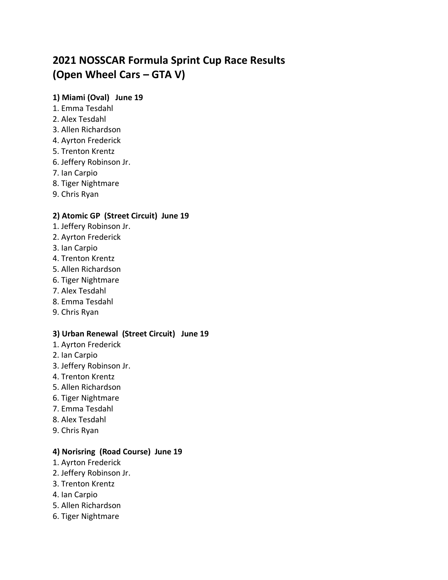# **2021 NOSSCAR Formula Sprint Cup Race Results (Open Wheel Cars – GTA V)**

## **1) Miami (Oval) June 19**

- 1. Emma Tesdahl
- 2. Alex Tesdahl
- 3. Allen Richardson
- 4. Ayrton Frederick
- 5. Trenton Krentz
- 6. Jeffery Robinson Jr.
- 7. Ian Carpio
- 8. Tiger Nightmare
- 9. Chris Ryan

# **2) Atomic GP (Street Circuit) June 19**

- 1. Jeffery Robinson Jr.
- 2. Ayrton Frederick
- 3. Ian Carpio
- 4. Trenton Krentz
- 5. Allen Richardson
- 6. Tiger Nightmare
- 7. Alex Tesdahl
- 8. Emma Tesdahl
- 9. Chris Ryan

# **3) Urban Renewal (Street Circuit) June 19**

- 1. Ayrton Frederick
- 2. Ian Carpio
- 3. Jeffery Robinson Jr.
- 4. Trenton Krentz
- 5. Allen Richardson
- 6. Tiger Nightmare
- 7. Emma Tesdahl
- 8. Alex Tesdahl
- 9. Chris Ryan

## **4) Norisring (Road Course) June 19**

- 1. Ayrton Frederick
- 2. Jeffery Robinson Jr.
- 3. Trenton Krentz
- 4. Ian Carpio
- 5. Allen Richardson
- 6. Tiger Nightmare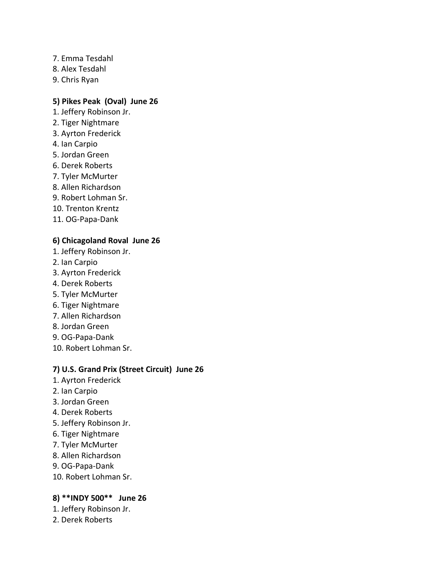- 7. Emma Tesdahl
- 8. Alex Tesdahl
- 9. Chris Ryan

#### **5) Pikes Peak (Oval) June 26**

- 1. Jeffery Robinson Jr.
- 2. Tiger Nightmare
- 3. Ayrton Frederick
- 4. Ian Carpio
- 5. Jordan Green
- 6. Derek Roberts
- 7. Tyler McMurter
- 8. Allen Richardson
- 9. Robert Lohman Sr.
- 10. Trenton Krentz
- 11. OG-Papa-Dank

#### **6) Chicagoland Roval June 26**

- 1. Jeffery Robinson Jr.
- 2. Ian Carpio
- 3. Ayrton Frederick
- 4. Derek Roberts
- 5. Tyler McMurter
- 6. Tiger Nightmare
- 7. Allen Richardson
- 8. Jordan Green
- 9. OG-Papa-Dank
- 10. Robert Lohman Sr.

#### **7) U.S. Grand Prix (Street Circuit) June 26**

- 1. Ayrton Frederick
- 2. Ian Carpio
- 3. Jordan Green
- 4. Derek Roberts
- 5. Jeffery Robinson Jr.
- 6. Tiger Nightmare
- 7. Tyler McMurter
- 8. Allen Richardson
- 9. OG-Papa-Dank
- 10. Robert Lohman Sr.

# **8) \*\*INDY 500\*\* June 26**

- 1. Jeffery Robinson Jr.
- 2. Derek Roberts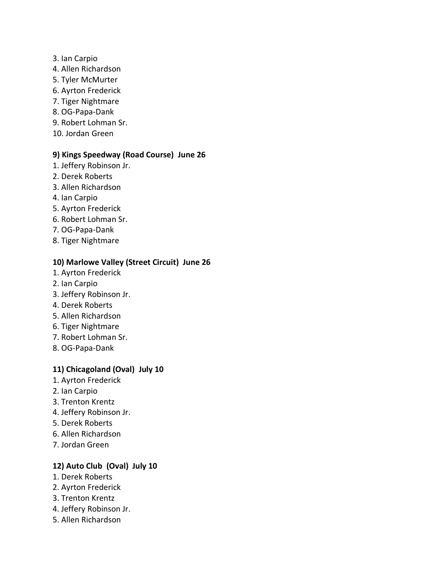#### 3. Ian Carpio

- 4. Allen Richardson
- 5. Tyler McMurter
- 6. Ayrton Frederick
- 7. Tiger Nightmare
- 8. OG-Papa-Dank
- 9. Robert Lohman Sr.
- 10. Jordan Green

#### **9) Kings Speedway (Road Course) June 26**

- 1. Jeffery Robinson Jr.
- 2. Derek Roberts
- 3. Allen Richardson
- 4. Ian Carpio
- 5. Ayrton Frederick
- 6. Robert Lohman Sr.
- 7. OG-Papa-Dank
- 8. Tiger Nightmare

## **10) Marlowe Valley (Street Circuit) June 26**

- 1. Ayrton Frederick
- 2. Ian Carpio
- 3. Jeffery Robinson Jr.
- 4. Derek Roberts
- 5. Allen Richardson
- 6. Tiger Nightmare
- 7. Robert Lohman Sr.
- 8. OG-Papa-Dank

## **11) Chicagoland (Oval) July 10**

- 1. Ayrton Frederick
- 2. Ian Carpio
- 3. Trenton Krentz
- 4. Jeffery Robinson Jr.
- 5. Derek Roberts
- 6. Allen Richardson
- 7. Jordan Green

## **12) Auto Club (Oval) July 10**

- 1. Derek Roberts
- 2. Ayrton Frederick
- 3. Trenton Krentz
- 4. Jeffery Robinson Jr.
- 5. Allen Richardson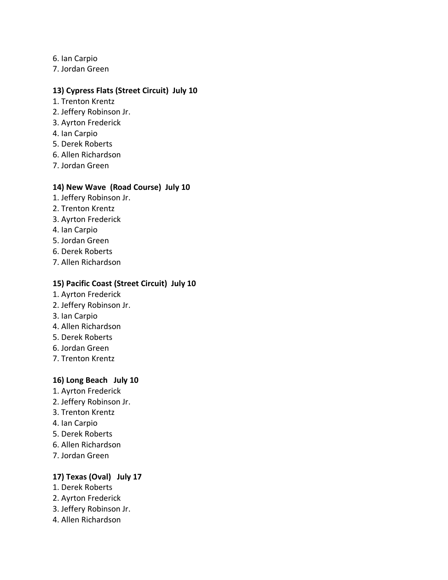- 6. Ian Carpio
- 7. Jordan Green

#### **13) Cypress Flats (Street Circuit) July 10**

- 1. Trenton Krentz
- 2. Jeffery Robinson Jr.
- 3. Ayrton Frederick
- 4. Ian Carpio
- 5. Derek Roberts
- 6. Allen Richardson
- 7. Jordan Green

#### **14) New Wave (Road Course) July 10**

- 1. Jeffery Robinson Jr.
- 2. Trenton Krentz
- 3. Ayrton Frederick
- 4. Ian Carpio
- 5. Jordan Green
- 6. Derek Roberts
- 7. Allen Richardson

## **15) Pacific Coast (Street Circuit) July 10**

- 1. Ayrton Frederick
- 2. Jeffery Robinson Jr.
- 3. Ian Carpio
- 4. Allen Richardson
- 5. Derek Roberts
- 6. Jordan Green
- 7. Trenton Krentz

## **16) Long Beach July 10**

- 1. Ayrton Frederick
- 2. Jeffery Robinson Jr.
- 3. Trenton Krentz
- 4. Ian Carpio
- 5. Derek Roberts
- 6. Allen Richardson
- 7. Jordan Green

## **17) Texas (Oval) July 17**

- 1. Derek Roberts
- 2. Ayrton Frederick
- 3. Jeffery Robinson Jr.
- 4. Allen Richardson